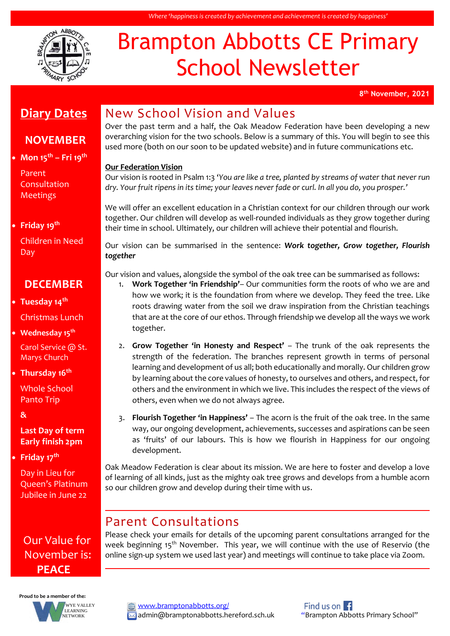

# Brampton Abbotts CE Primary School Newsletter

**8 th November, 2021**

# **Diary Dates**

#### **NOVEMBER**

**Mon 15th – Fri 19th**

Parent Consultation Meetings

**Friday 19th**

Children in Need Day

#### **DECEMBER**

- **Tuesday 14th** Christmas Lunch
- **Wednesday 15th**

Carol Service @ St. Marys Church

**Thursday 16th**

Whole School Panto Trip

**&**

#### **Last Day of term Early finish 2pm**

**Friday 17th**

Day in Lieu for Queen's Platinum Jubilee in June 22

### Our Value for November is: **PEACE**



# New School Vision and Values

Over the past term and a half, the Oak Meadow Federation have been developing a new overarching vision for the two schools. Below is a summary of this. You will begin to see this used more (both on our soon to be updated website) and in future communications etc.

#### **Our Federation Vision**

Our vision is rooted in Psalm 1:3 '*You are like a tree, planted by streams of water that never run dry. Your fruit ripens in its time; your leaves never fade or curl. In all you do, you prosper.'*

We will offer an excellent education in a Christian context for our children through our work together. Our children will develop as well-rounded individuals as they grow together during their time in school. Ultimately, our children will achieve their potential and flourish.

Our vision can be summarised in the sentence: *Work together, Grow together, Flourish together*

Our vision and values, alongside the symbol of the oak tree can be summarised as follows:

- 1. **Work Together 'in Friendship'** Our communities form the roots of who we are and how we work; it is the foundation from where we develop. They feed the tree. Like roots drawing water from the soil we draw inspiration from the Christian teachings that are at the core of our ethos. Through friendship we develop all the ways we work together.
- 2. **Grow Together 'in Honesty and Respect'**  The trunk of the oak represents the strength of the federation. The branches represent growth in terms of personal learning and development of us all; both educationally and morally. Our children grow by learning about the core values of honesty, to ourselves and others, and respect, for others and the environment in which we live. This includes the respect of the views of others, even when we do not always agree.
- 3. **Flourish Together 'in Happiness'**  The acorn is the fruit of the oak tree. In the same way, our ongoing development, achievements, successes and aspirations can be seen as 'fruits' of our labours. This is how we flourish in Happiness for our ongoing development.

Oak Meadow Federation is clear about its mission. We are here to foster and develop a love of learning of all kinds, just as the mighty oak tree grows and develops from a humble acorn so our children grow and develop during their time with us.

#### Parent Consultations

Please check your emails for details of the upcoming parent consultations arranged for the week beginning 15<sup>th</sup> November. This year, we will continue with the use of Reservio (the online sign-up system we used last year) and meetings will continue to take place via Zoom.

[www.bramptonabbotts.org/](http://www.bramptonabbotts.org/)  $\boxtimes$  admin@bramptonabbotts.hereford.sch.uk "Brampton Abbotts Primary School"